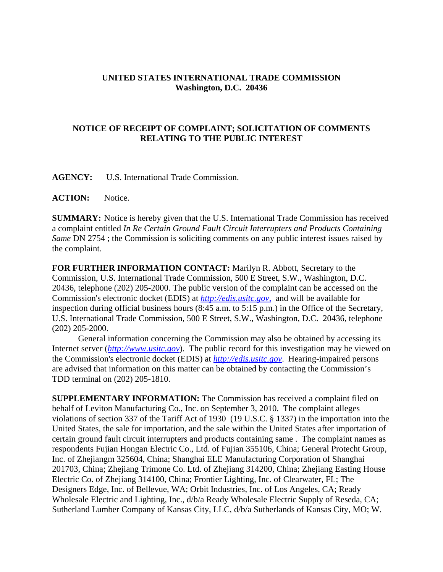## **UNITED STATES INTERNATIONAL TRADE COMMISSION Washington, D.C. 20436**

## **NOTICE OF RECEIPT OF COMPLAINT; SOLICITATION OF COMMENTS RELATING TO THE PUBLIC INTEREST**

**AGENCY:** U.S. International Trade Commission.

**ACTION:** Notice.

**SUMMARY:** Notice is hereby given that the U.S. International Trade Commission has received a complaint entitled *In Re Certain Ground Fault Circuit Interrupters and Products Containing Same* DN 2754 ; the Commission is soliciting comments on any public interest issues raised by the complaint.

**FOR FURTHER INFORMATION CONTACT:** Marilyn R. Abbott, Secretary to the Commission, U.S. International Trade Commission, 500 E Street, S.W., Washington, D.C. 20436, telephone (202) 205-2000. The public version of the complaint can be accessed on the Commission's electronic docket (EDIS) at *http://edis.usitc.gov*, and will be available for inspection during official business hours (8:45 a.m. to 5:15 p.m.) in the Office of the Secretary, U.S. International Trade Commission, 500 E Street, S.W., Washington, D.C. 20436, telephone (202) 205-2000.

General information concerning the Commission may also be obtained by accessing its Internet server (*http://www.usitc.gov*). The public record for this investigation may be viewed on the Commission's electronic docket (EDIS) at *http://edis.usitc.gov*. Hearing-impaired persons are advised that information on this matter can be obtained by contacting the Commission's TDD terminal on (202) 205-1810.

**SUPPLEMENTARY INFORMATION:** The Commission has received a complaint filed on behalf of Leviton Manufacturing Co., Inc. on September 3, 2010. The complaint alleges violations of section 337 of the Tariff Act of 1930 (19 U.S.C. § 1337) in the importation into the United States, the sale for importation, and the sale within the United States after importation of certain ground fault circuit interrupters and products containing same . The complaint names as respondents Fujian Hongan Electric Co., Ltd. of Fujian 355106, China; General Protecht Group, Inc. of Zhejiangm 325604, China; Shanghai ELE Manufacturing Corporation of Shanghai 201703, China; Zhejiang Trimone Co. Ltd. of Zhejiang 314200, China; Zhejiang Easting House Electric Co. of Zhejiang 314100, China; Frontier Lighting, Inc. of Clearwater, FL; The Designers Edge, Inc. of Bellevue, WA; Orbit Industries, Inc. of Los Angeles, CA; Ready Wholesale Electric and Lighting, Inc., d/b/a Ready Wholesale Electric Supply of Reseda, CA; Sutherland Lumber Company of Kansas City, LLC, d/b/a Sutherlands of Kansas City, MO; W.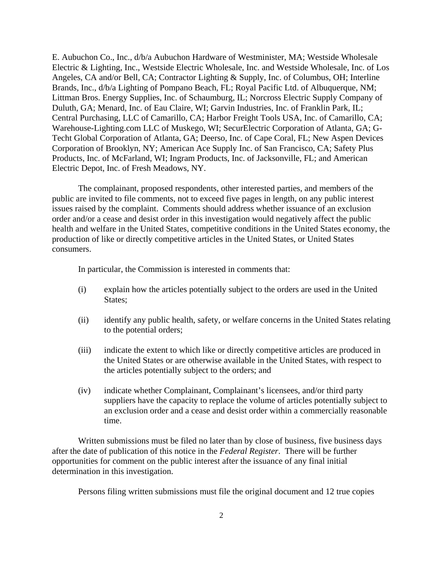E. Aubuchon Co., Inc., d/b/a Aubuchon Hardware of Westminister, MA; Westside Wholesale Electric & Lighting, Inc., Westside Electric Wholesale, Inc. and Westside Wholesale, Inc. of Los Angeles, CA and/or Bell, CA; Contractor Lighting & Supply, Inc. of Columbus, OH; Interline Brands, Inc., d/b/a Lighting of Pompano Beach, FL; Royal Pacific Ltd. of Albuquerque, NM; Littman Bros. Energy Supplies, Inc. of Schaumburg, IL; Norcross Electric Supply Company of Duluth, GA; Menard, Inc. of Eau Claire, WI; Garvin Industries, Inc. of Franklin Park, IL; Central Purchasing, LLC of Camarillo, CA; Harbor Freight Tools USA, Inc. of Camarillo, CA; Warehouse-Lighting.com LLC of Muskego, WI; SecurElectric Corporation of Atlanta, GA; G-Techt Global Corporation of Atlanta, GA; Deerso, Inc. of Cape Coral, FL; New Aspen Devices Corporation of Brooklyn, NY; American Ace Supply Inc. of San Francisco, CA; Safety Plus Products, Inc. of McFarland, WI; Ingram Products, Inc. of Jacksonville, FL; and American Electric Depot, Inc. of Fresh Meadows, NY.

The complainant, proposed respondents, other interested parties, and members of the public are invited to file comments, not to exceed five pages in length, on any public interest issues raised by the complaint. Comments should address whether issuance of an exclusion order and/or a cease and desist order in this investigation would negatively affect the public health and welfare in the United States, competitive conditions in the United States economy, the production of like or directly competitive articles in the United States, or United States consumers.

In particular, the Commission is interested in comments that:

- (i) explain how the articles potentially subject to the orders are used in the United States:
- (ii) identify any public health, safety, or welfare concerns in the United States relating to the potential orders;
- (iii) indicate the extent to which like or directly competitive articles are produced in the United States or are otherwise available in the United States, with respect to the articles potentially subject to the orders; and
- (iv) indicate whether Complainant, Complainant's licensees, and/or third party suppliers have the capacity to replace the volume of articles potentially subject to an exclusion order and a cease and desist order within a commercially reasonable time.

Written submissions must be filed no later than by close of business, five business days after the date of publication of this notice in the *Federal Register*. There will be further opportunities for comment on the public interest after the issuance of any final initial determination in this investigation.

Persons filing written submissions must file the original document and 12 true copies